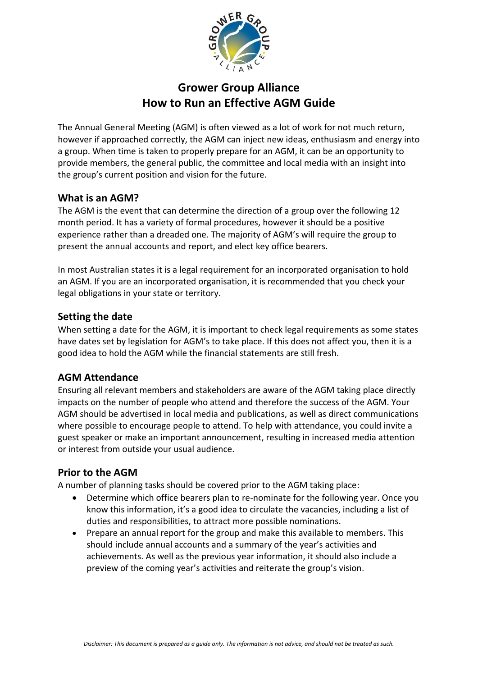

# **Grower Group Alliance How to Run an Effective AGM Guide**

The Annual General Meeting (AGM) is often viewed as a lot of work for not much return, however if approached correctly, the AGM can inject new ideas, enthusiasm and energy into a group. When time is taken to properly prepare for an AGM, it can be an opportunity to provide members, the general public, the committee and local media with an insight into the group's current position and vision for the future.

#### **What is an AGM?**

The AGM is the event that can determine the direction of a group over the following 12 month period. It has a variety of formal procedures, however it should be a positive experience rather than a dreaded one. The majority of AGM's will require the group to present the annual accounts and report, and elect key office bearers.

In most Australian states it is a legal requirement for an incorporated organisation to hold an AGM. If you are an incorporated organisation, it is recommended that you check your legal obligations in your state or territory.

## **Setting the date**

When setting a date for the AGM, it is important to check legal requirements as some states have dates set by legislation for AGM's to take place. If this does not affect you, then it is a good idea to hold the AGM while the financial statements are still fresh.

## **AGM Attendance**

Ensuring all relevant members and stakeholders are aware of the AGM taking place directly impacts on the number of people who attend and therefore the success of the AGM. Your AGM should be advertised in local media and publications, as well as direct communications where possible to encourage people to attend. To help with attendance, you could invite a guest speaker or make an important announcement, resulting in increased media attention or interest from outside your usual audience.

#### **Prior to the AGM**

A number of planning tasks should be covered prior to the AGM taking place:

- Determine which office bearers plan to re-nominate for the following year. Once you know this information, it's a good idea to circulate the vacancies, including a list of duties and responsibilities, to attract more possible nominations.
- Prepare an annual report for the group and make this available to members. This should include annual accounts and a summary of the year's activities and achievements. As well as the previous year information, it should also include a preview of the coming year's activities and reiterate the group's vision.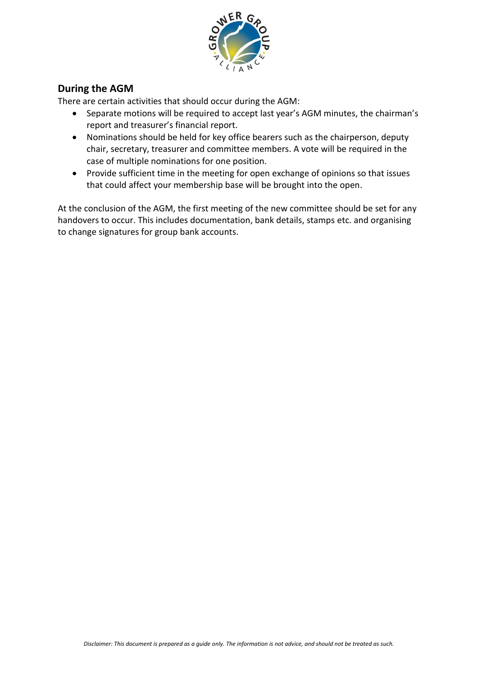

## **During the AGM**

There are certain activities that should occur during the AGM:

- Separate motions will be required to accept last year's AGM minutes, the chairman's report and treasurer's financial report.
- Nominations should be held for key office bearers such as the chairperson, deputy chair, secretary, treasurer and committee members. A vote will be required in the case of multiple nominations for one position.
- Provide sufficient time in the meeting for open exchange of opinions so that issues that could affect your membership base will be brought into the open.

At the conclusion of the AGM, the first meeting of the new committee should be set for any handovers to occur. This includes documentation, bank details, stamps etc. and organising to change signatures for group bank accounts.